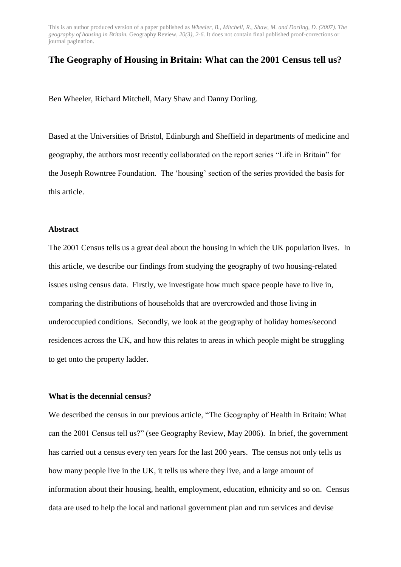# **The Geography of Housing in Britain: What can the 2001 Census tell us?**

Ben Wheeler, Richard Mitchell, Mary Shaw and Danny Dorling.

Based at the Universities of Bristol, Edinburgh and Sheffield in departments of medicine and geography, the authors most recently collaborated on the report series "Life in Britain" for the Joseph Rowntree Foundation. The "housing" section of the series provided the basis for this article.

## **Abstract**

The 2001 Census tells us a great deal about the housing in which the UK population lives. In this article, we describe our findings from studying the geography of two housing-related issues using census data. Firstly, we investigate how much space people have to live in, comparing the distributions of households that are overcrowded and those living in underoccupied conditions. Secondly, we look at the geography of holiday homes/second residences across the UK, and how this relates to areas in which people might be struggling to get onto the property ladder.

## **What is the decennial census?**

We described the census in our previous article, "The Geography of Health in Britain: What can the 2001 Census tell us?" (see Geography Review, May 2006). In brief, the government has carried out a census every ten years for the last 200 years. The census not only tells us how many people live in the UK, it tells us where they live, and a large amount of information about their housing, health, employment, education, ethnicity and so on. Census data are used to help the local and national government plan and run services and devise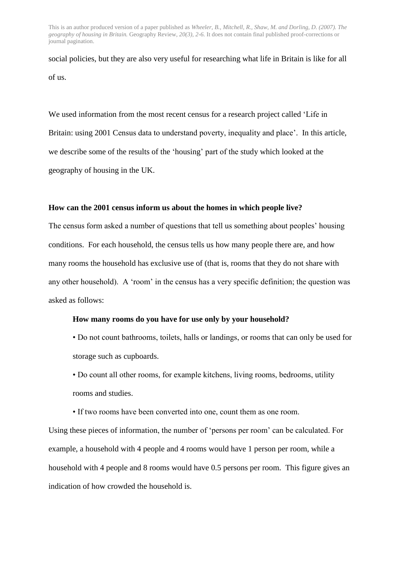social policies, but they are also very useful for researching what life in Britain is like for all of us.

We used information from the most recent census for a research project called "Life in Britain: using 2001 Census data to understand poverty, inequality and place'. In this article, we describe some of the results of the "housing" part of the study which looked at the geography of housing in the UK.

## **How can the 2001 census inform us about the homes in which people live?**

The census form asked a number of questions that tell us something about peoples" housing conditions. For each household, the census tells us how many people there are, and how many rooms the household has exclusive use of (that is, rooms that they do not share with any other household). A "room" in the census has a very specific definition; the question was asked as follows:

## **How many rooms do you have for use only by your household?**

• Do not count bathrooms, toilets, halls or landings, or rooms that can only be used for storage such as cupboards.

• Do count all other rooms, for example kitchens, living rooms, bedrooms, utility rooms and studies.

• If two rooms have been converted into one, count them as one room.

Using these pieces of information, the number of "persons per room" can be calculated. For example, a household with 4 people and 4 rooms would have 1 person per room, while a household with 4 people and 8 rooms would have 0.5 persons per room. This figure gives an indication of how crowded the household is.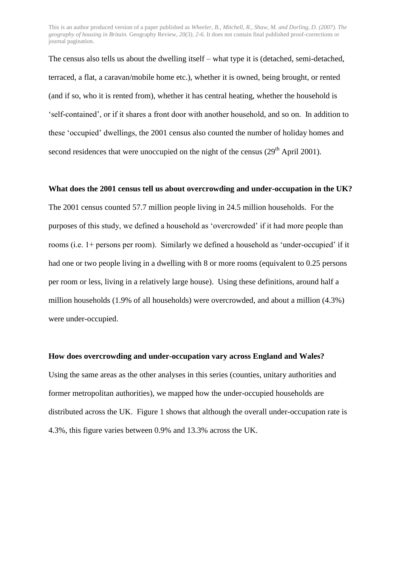The census also tells us about the dwelling itself – what type it is (detached, semi-detached, terraced, a flat, a caravan/mobile home etc.), whether it is owned, being brought, or rented (and if so, who it is rented from), whether it has central heating, whether the household is "self-contained", or if it shares a front door with another household, and so on. In addition to these "occupied" dwellings, the 2001 census also counted the number of holiday homes and second residences that were unoccupied on the night of the census  $(29<sup>th</sup>$  April 2001).

## **What does the 2001 census tell us about overcrowding and under-occupation in the UK?**

The 2001 census counted 57.7 million people living in 24.5 million households. For the purposes of this study, we defined a household as "overcrowded" if it had more people than rooms (i.e. 1+ persons per room). Similarly we defined a household as "under-occupied" if it had one or two people living in a dwelling with 8 or more rooms (equivalent to 0.25 persons per room or less, living in a relatively large house). Using these definitions, around half a million households (1.9% of all households) were overcrowded, and about a million (4.3%) were under-occupied.

#### **How does overcrowding and under-occupation vary across England and Wales?**

Using the same areas as the other analyses in this series (counties, unitary authorities and former metropolitan authorities), we mapped how the under-occupied households are distributed across the UK. Figure 1 shows that although the overall under-occupation rate is 4.3%, this figure varies between 0.9% and 13.3% across the UK.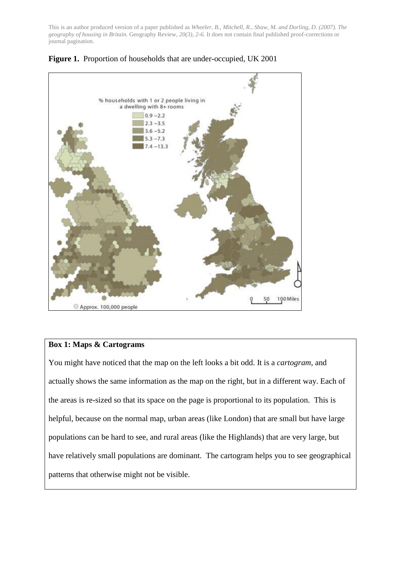



# **Box 1: Maps & Cartograms**

You might have noticed that the map on the left looks a bit odd. It is a *cartogram*, and actually shows the same information as the map on the right, but in a different way. Each of the areas is re-sized so that its space on the page is proportional to its population. This is helpful, because on the normal map, urban areas (like London) that are small but have large populations can be hard to see, and rural areas (like the Highlands) that are very large, but have relatively small populations are dominant. The cartogram helps you to see geographical patterns that otherwise might not be visible.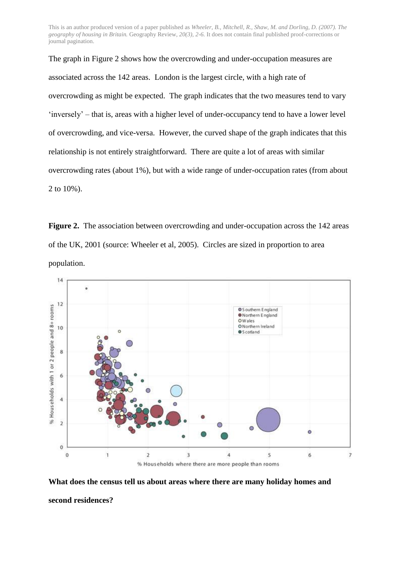```
The graph in Figure 2 shows how the overcrowding and under-occupation measures are 
associated across the 142 areas. London is the largest circle, with a high rate of 
overcrowding as might be expected. The graph indicates that the two measures tend to vary 
"inversely" – that is, areas with a higher level of under-occupancy tend to have a lower level 
of overcrowding, and vice-versa. However, the curved shape of the graph indicates that this 
relationship is not entirely straightforward. There are quite a lot of areas with similar 
overcrowding rates (about 1%), but with a wide range of under-occupation rates (from about 
2 to 10%).
```
**Figure 2.** The association between overcrowding and under-occupation across the 142 areas of the UK, 2001 (source: Wheeler et al, 2005). Circles are sized in proportion to area population.



**What does the census tell us about areas where there are many holiday homes and second residences?**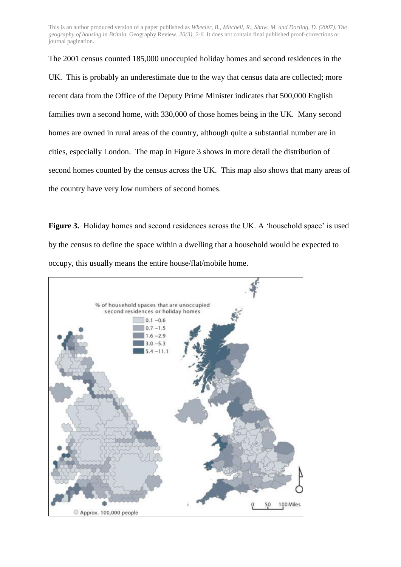The 2001 census counted 185,000 unoccupied holiday homes and second residences in the UK. This is probably an underestimate due to the way that census data are collected; more recent data from the Office of the Deputy Prime Minister indicates that 500,000 English families own a second home, with 330,000 of those homes being in the UK. Many second homes are owned in rural areas of the country, although quite a substantial number are in cities, especially London. The map in Figure 3 shows in more detail the distribution of second homes counted by the census across the UK. This map also shows that many areas of the country have very low numbers of second homes.

Figure 3. Holiday homes and second residences across the UK. A 'household space' is used by the census to define the space within a dwelling that a household would be expected to occupy, this usually means the entire house/flat/mobile home.

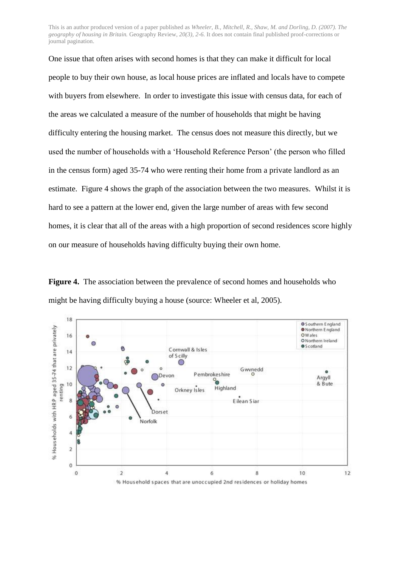One issue that often arises with second homes is that they can make it difficult for local people to buy their own house, as local house prices are inflated and locals have to compete with buyers from elsewhere. In order to investigate this issue with census data, for each of the areas we calculated a measure of the number of households that might be having difficulty entering the housing market. The census does not measure this directly, but we used the number of households with a "Household Reference Person" (the person who filled in the census form) aged 35-74 who were renting their home from a private landlord as an estimate. Figure 4 shows the graph of the association between the two measures. Whilst it is hard to see a pattern at the lower end, given the large number of areas with few second homes, it is clear that all of the areas with a high proportion of second residences score highly on our measure of households having difficulty buying their own home.

**Figure 4.** The association between the prevalence of second homes and households who might be having difficulty buying a house (source: Wheeler et al, 2005).

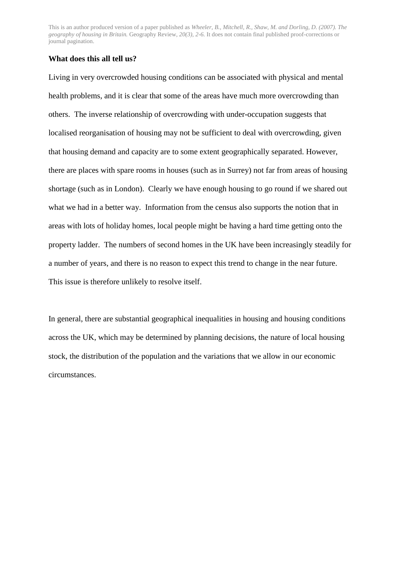### **What does this all tell us?**

Living in very overcrowded housing conditions can be associated with physical and mental health problems, and it is clear that some of the areas have much more overcrowding than others. The inverse relationship of overcrowding with under-occupation suggests that localised reorganisation of housing may not be sufficient to deal with overcrowding, given that housing demand and capacity are to some extent geographically separated. However, there are places with spare rooms in houses (such as in Surrey) not far from areas of housing shortage (such as in London). Clearly we have enough housing to go round if we shared out what we had in a better way. Information from the census also supports the notion that in areas with lots of holiday homes, local people might be having a hard time getting onto the property ladder. The numbers of second homes in the UK have been increasingly steadily for a number of years, and there is no reason to expect this trend to change in the near future. This issue is therefore unlikely to resolve itself.

In general, there are substantial geographical inequalities in housing and housing conditions across the UK, which may be determined by planning decisions, the nature of local housing stock, the distribution of the population and the variations that we allow in our economic circumstances.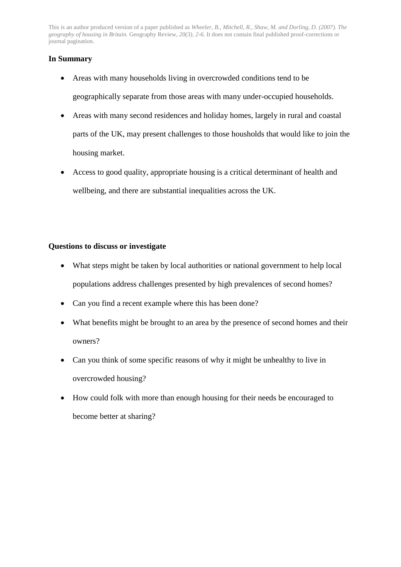# **In Summary**

- Areas with many households living in overcrowded conditions tend to be geographically separate from those areas with many under-occupied households.
- Areas with many second residences and holiday homes, largely in rural and coastal parts of the UK, may present challenges to those housholds that would like to join the housing market.
- Access to good quality, appropriate housing is a critical determinant of health and wellbeing, and there are substantial inequalities across the UK.

## **Questions to discuss or investigate**

- What steps might be taken by local authorities or national government to help local populations address challenges presented by high prevalences of second homes?
- Can you find a recent example where this has been done?
- What benefits might be brought to an area by the presence of second homes and their owners?
- Can you think of some specific reasons of why it might be unhealthy to live in overcrowded housing?
- How could folk with more than enough housing for their needs be encouraged to become better at sharing?